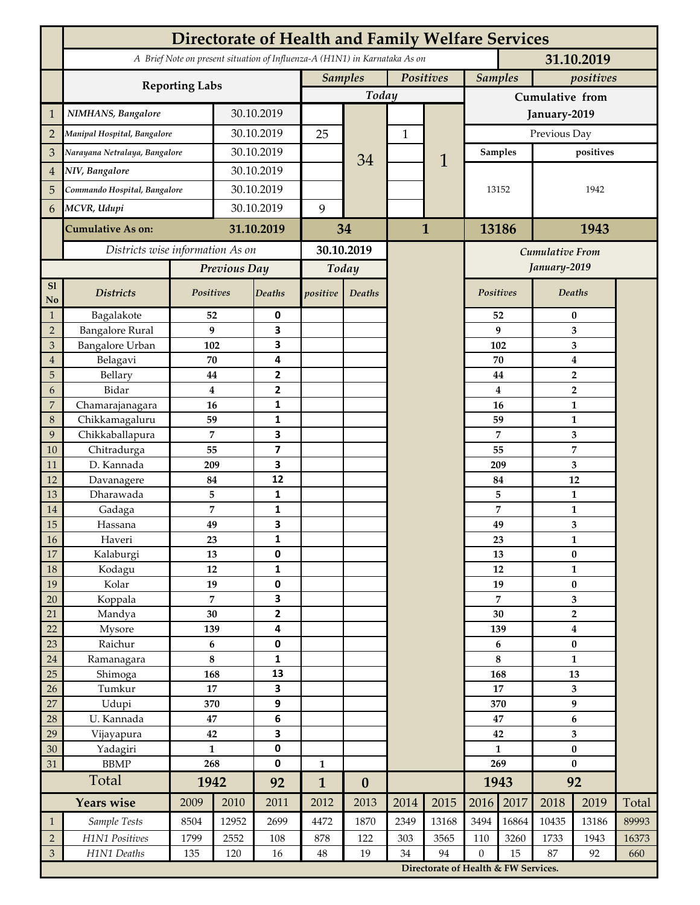|                             | <b>Directorate of Health and Family Welfare Services</b>                                 |                     |            |                         |                             |                  |              |                                      |                    |                             |                                             |                |       |  |
|-----------------------------|------------------------------------------------------------------------------------------|---------------------|------------|-------------------------|-----------------------------|------------------|--------------|--------------------------------------|--------------------|-----------------------------|---------------------------------------------|----------------|-------|--|
|                             | A Brief Note on present situation of Influenza-A (H1N1) in Karnataka As on<br>31.10.2019 |                     |            |                         |                             |                  |              |                                      |                    |                             |                                             |                |       |  |
|                             |                                                                                          |                     |            |                         | Positives<br><b>Samples</b> |                  |              |                                      |                    | <b>Samples</b><br>positives |                                             |                |       |  |
|                             | <b>Reporting Labs</b>                                                                    |                     |            |                         |                             | Today            |              |                                      | Cumulative from    |                             |                                             |                |       |  |
| $\mathbf{1}$                | NIMHANS, Bangalore                                                                       | 30.10.2019          |            |                         |                             |                  |              | January-2019                         |                    |                             |                                             |                |       |  |
| $\overline{2}$              | Manipal Hospital, Bangalore                                                              |                     |            | 30.10.2019              |                             |                  | $\mathbf{1}$ |                                      | Previous Day       |                             |                                             |                |       |  |
| 3                           | Narayana Netralaya, Bangalore                                                            |                     |            | 30.10.2019              |                             |                  |              |                                      | <b>Samples</b>     |                             | positives                                   |                |       |  |
| $\overline{4}$              | NIV, Bangalore                                                                           |                     |            | 30.10.2019              |                             | 34               |              | 1                                    |                    |                             |                                             |                |       |  |
| 5                           | Commando Hospital, Bangalore                                                             |                     | 30.10.2019 |                         |                             |                  |              |                                      | 13152              |                             | 1942                                        |                |       |  |
| 6                           | MCVR, Udupi                                                                              |                     | 30.10.2019 |                         | 9                           |                  |              |                                      |                    |                             |                                             |                |       |  |
|                             |                                                                                          |                     |            |                         |                             |                  |              |                                      |                    |                             |                                             |                |       |  |
|                             | <b>Cumulative As on:</b>                                                                 | 31.10.2019          |            | 34                      |                             | $\mathbf{1}$     |              | 13186                                |                    | 1943                        |                                             |                |       |  |
|                             | Districts wise information As on                                                         |                     |            | 30.10.2019              |                             |                  |              | <b>Cumulative From</b>               |                    |                             |                                             |                |       |  |
|                             |                                                                                          | Previous Day        |            | Today                   |                             |                  |              |                                      |                    |                             | January-2019                                |                |       |  |
| S1<br>No                    | <b>Districts</b>                                                                         | Positives           |            | Deaths                  | positive                    | Deaths           |              |                                      | Positives          |                             |                                             | <b>Deaths</b>  |       |  |
| $\mathbf{1}$                | Bagalakote                                                                               | 52                  |            | 0                       |                             |                  |              |                                      | 52                 |                             | $\bf{0}$                                    |                |       |  |
| $\overline{2}$              | <b>Bangalore Rural</b>                                                                   | 9                   |            | 3                       |                             |                  |              |                                      |                    | 9                           | 3                                           |                |       |  |
| 3                           | <b>Bangalore Urban</b>                                                                   | 102                 |            | 3                       |                             |                  |              |                                      |                    | 102                         |                                             | 3              |       |  |
| $\overline{4}$<br>5         | Belagavi<br>Bellary                                                                      | 70<br>44            |            | 4<br>2                  |                             |                  |              |                                      | 70<br>44           |                             | $\boldsymbol{4}$<br>$\overline{\mathbf{2}}$ |                |       |  |
| 6                           | Bidar                                                                                    | $\bf{4}$            |            | 2                       |                             |                  |              |                                      |                    | 4                           |                                             | $\overline{2}$ |       |  |
| $\overline{7}$              | Chamarajanagara                                                                          | 16                  |            | 1                       |                             |                  |              |                                      | 16                 |                             |                                             | $\mathbf{1}$   |       |  |
| 8                           | Chikkamagaluru                                                                           | 59                  |            | 1                       |                             |                  |              |                                      |                    | 59                          |                                             | 1              |       |  |
| 9                           | Chikkaballapura                                                                          | 7                   |            | 3                       |                             |                  |              |                                      |                    | 7                           |                                             | 3              |       |  |
| 10                          | Chitradurga                                                                              | 55                  |            | $\overline{\mathbf{z}}$ |                             |                  |              |                                      |                    | 55                          |                                             | $\overline{7}$ |       |  |
| 11                          | D. Kannada                                                                               | 209                 |            | 3                       |                             |                  |              |                                      | 209                |                             | 3                                           |                |       |  |
| 12                          | Davanagere                                                                               | 84                  |            | 12                      |                             |                  |              |                                      |                    | 84                          | 12<br>1                                     |                |       |  |
| 13<br>14                    | Dharawada                                                                                | 5<br>$\overline{7}$ |            | 1<br>1                  |                             |                  |              |                                      |                    | 5<br>7                      |                                             | $\mathbf{1}$   |       |  |
| 15                          | Gadaga<br>Hassana                                                                        | 49                  |            | 3                       |                             |                  |              |                                      |                    | 49                          |                                             | 3              |       |  |
| 16                          | Haveri                                                                                   | 23                  |            | 1                       |                             |                  |              |                                      |                    | 23                          | 1                                           |                |       |  |
| 17                          | Kalaburgi                                                                                | 13                  |            | 0                       |                             |                  |              |                                      | 13                 |                             | $\pmb{0}$                                   |                |       |  |
| 18                          | Kodagu                                                                                   | $12\,$              |            | 1                       |                             |                  |              |                                      | 12                 |                             | $\mathbf{1}$                                |                |       |  |
| 19                          | Kolar                                                                                    | 19                  |            | 0                       |                             |                  |              |                                      |                    | 19                          | $\bf{0}$                                    |                |       |  |
| 20                          | Koppala                                                                                  | $\overline{7}$      |            | 3                       |                             |                  |              |                                      | 7<br>30            |                             | 3                                           |                |       |  |
| 21<br>22                    | Mandya                                                                                   | 30<br>139           |            | $\overline{2}$<br>4     |                             |                  |              |                                      |                    |                             | $\overline{\mathbf{2}}$<br>$\boldsymbol{4}$ |                |       |  |
| 23                          | Mysore<br>Raichur                                                                        | $\bf 6$             |            | 0                       |                             |                  |              |                                      |                    | 139<br>6                    |                                             | $\pmb{0}$      |       |  |
| 24                          | Ramanagara                                                                               | $\bf 8$             |            | 1                       |                             |                  |              |                                      |                    | 8                           |                                             | $\mathbf{1}$   |       |  |
| 25                          | Shimoga                                                                                  | 168                 |            | 13                      |                             |                  |              |                                      | 168                |                             | 13                                          |                |       |  |
| 26                          | Tumkur                                                                                   | 17                  |            | 3                       |                             |                  |              |                                      | 17                 |                             | 3                                           |                |       |  |
| 27                          | Udupi                                                                                    | 370                 |            | 9                       |                             |                  |              |                                      | 370                |                             | $\boldsymbol{9}$                            |                |       |  |
| 28                          | U. Kannada                                                                               | $\bf 47$            |            | 6                       |                             |                  |              |                                      | 47                 |                             | 6                                           |                |       |  |
| 29                          | Vijayapura                                                                               | 42<br>$\mathbf{1}$  |            | 3<br>0                  |                             |                  |              |                                      | 42<br>$\mathbf{1}$ |                             | 3                                           |                |       |  |
| 30<br>31                    | Yadagiri<br><b>BBMP</b>                                                                  | 268                 |            | 0                       | $\mathbf{1}$                |                  |              |                                      | 269                |                             | $\bf{0}$<br>$\bf{0}$                        |                |       |  |
|                             | Total                                                                                    | 1942                |            | 92                      | $\mathbf{1}$                | $\boldsymbol{0}$ |              |                                      | 1943               |                             | 92                                          |                |       |  |
|                             | <b>Years wise</b>                                                                        | 2009                | 2010       | 2011                    | 2012                        | 2013             | 2014         | 2015                                 | 2016               | 2017                        | 2018                                        | 2019           | Total |  |
| $\mathbf{1}$                | Sample Tests                                                                             | 8504                | 12952      | 2699                    | 4472                        | 1870             | 2349         | 13168                                | 3494               | 16864                       | 10435                                       | 13186          | 89993 |  |
| $\sqrt{2}$                  | H1N1 Positives                                                                           | 1799                | 2552       | 108                     | 878                         | 122              | 303          | 3565                                 | 110                | 3260                        | 1733                                        | 1943           | 16373 |  |
| $\ensuremath{\mathfrak{Z}}$ | H1N1 Deaths                                                                              | 135                 | 120        | 16                      | $\bf 48$                    | 19               | 34           | 94                                   | $\mathbf{0}$       | 15                          | 87                                          | 92             | 660   |  |
|                             |                                                                                          |                     |            |                         |                             |                  |              | Directorate of Health & FW Services. |                    |                             |                                             |                |       |  |